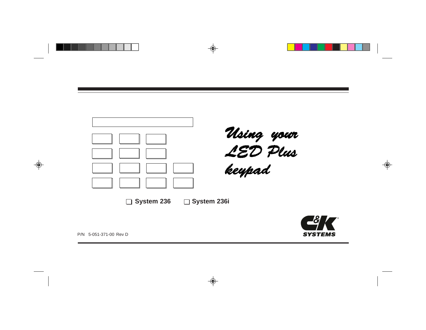



P/N 5-051-371-00 Rev D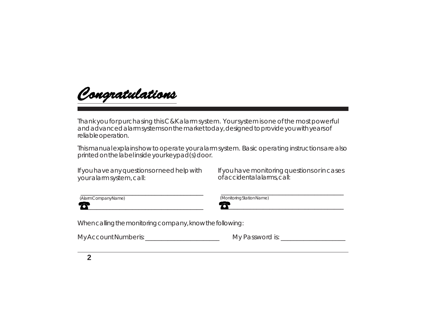Congratulations

Thank you for purchasing this C&K alarm system. Your system is one of the most powerful and advanced alarm systems on the market today, designed to provide you with years of reliable operation.

This manual explains how to operate your alarm system. Basic operating instructions are also printed on the label inside your keypad(s) door.

If you have any questions or need help with your alarm system, call:

 $\overline{\phantom{a}}$  , and the contribution of the contribution of the contribution of the contribution of the contribution of the contribution of the contribution of the contribution of the contribution of the contribution of the

 $\overline{\phantom{a}}$  , and the contribution of the contribution of the contribution of the contribution of the contribution of the contribution of the contribution of the contribution of the contribution of the contribution of the

| (AlarmCompanyName) |
|--------------------|
|--------------------|

of accidental alarms, call:

If you have monitoring questions or in cases

 $\overline{\phantom{a}}$  , and the contribution of the contribution of the contribution of the contribution of the contribution of the contribution of the contribution of the contribution of the contribution of the contribution of the

| Whencalling the monitoring company, know the following: |  |  |
|---------------------------------------------------------|--|--|
|                                                         |  |  |

My Account Number is:\_\_\_\_\_\_\_\_\_\_\_\_\_\_\_\_\_\_\_\_\_\_\_ My Password is: \_\_\_\_\_\_\_\_\_\_\_\_\_\_\_\_\_\_\_\_

 $\boldsymbol{\mathcal{B}}$  , and the set of the set of the set of the set of the set of the set of the set of the set of the set of the set of the set of the set of the set of the set of the set of the set of the set of the set of the s (Monitoring Station Name)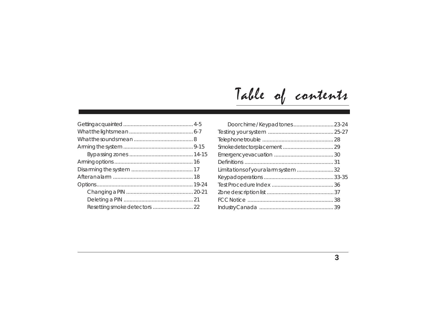# Table of contents

| Resetting smoke detectors  22 |  |
|-------------------------------|--|

| Limitations of your alarm system  32 |  |
|--------------------------------------|--|
|                                      |  |
|                                      |  |
|                                      |  |
|                                      |  |
|                                      |  |
|                                      |  |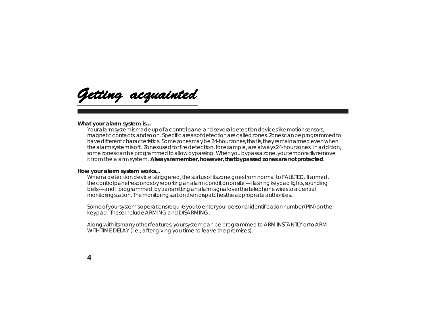<span id="page-3-0"></span>Getting acquainted

#### **What your alarm system is...**

Your alarm system is made up of a control panel and several detection devices like motion sensors, magnetic contacts, and so on. Specific areas of detection are called zones. Zones can be programmed to have different characteristics. Some zones may be 24-hour zones, that is, they remain armed even when the alarm system is off. Zones used for fire detection, for example, are always 24-hour zones. In addition, some zones can be programmed to allow bypassing. When you bypass a zone, you temporarily remove it from the alarm system. **Always remember, however, that bypassed zones are not protected**.

#### **How your alarm system works...**

When a detection device is triggered, the status of its zone goes from normal to FAULTED. If armed, the control panel responds by reporting an alarm condition on site --- flashing keypad lights, sounding bells --- and if programmed, by transmitting an alarm signal over the telephone wires to a central monitoring station. The monitoring station then dispatches the appropriate authorities.

Some of your system's operations require you to enter your personal identification number (PIN) on the keypad. These include ARMING and DISARMING.

Along with its many other features, your system can be programmed to ARM INSTANTLY or to ARM WITH TIME DELAY (i.e., after giving you time to leave the premises).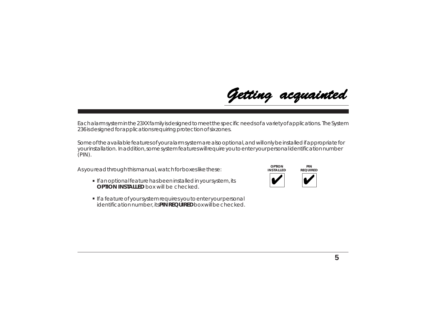Each alarm system in the 23XX family is designed to meet the specific needs of a variety of applications. The System 236 is designed for applications requiring protection of six zones.

Some of the available features of your alarm system are also optional, and will only be installed if appropriate for your installation. In addition, some system features will require you to enter your personal identification number (PIN).

As you read through this manual, watch for boxes like these:

- **•** If an optional feature has been installed in your system, its **OPTION INSTALLED** box will be checked.
- **.** If a feature of your system requires you to enter your personal identification number, its **PIN REQUIRED** box will be checked.



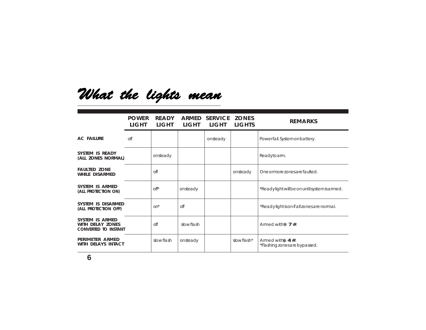# <span id="page-5-0"></span>What the lights mean

|                                                                    | <b>POWER</b><br><b>LIGHT</b> | <b>READY</b><br><b>LIGHT</b> | LIGHT     | ARMED SERVICE ZONES<br>LIGHT | <b>LIGHTS</b> | <b>REMARKS</b>                                      |
|--------------------------------------------------------------------|------------------------------|------------------------------|-----------|------------------------------|---------------|-----------------------------------------------------|
| <b>AC FAILURE</b>                                                  | off                          |                              |           | onsteady                     |               | Powerfail. System on battery.                       |
| SYSTEM IS READY<br>(ALL ZONES NORMAL)                              |                              | onsteady                     |           |                              |               | Readytoarm.                                         |
| <b>FAULTED ZONE</b><br><b>WHILE DISARMED</b>                       |                              | off                          |           |                              | onsteady      | One or more zones are faulted.                      |
| SYSTEM IS ARMED<br>(ALL PROTECTION ON)                             |                              | $\Omega$ <sup>*</sup>        | onsteady  |                              |               | *Readylight will be on until system is armed.       |
| SYSTEM IS DISARMED<br>(ALL PROTECTION OFF)                         |                              | on <sup>*</sup>              | off       |                              |               | *Readylight is on if all zones are normal.          |
| SYSTEM IS ARMED<br>WITH DELAY ZONES<br><b>CONVERTED TO INSTANT</b> |                              | off                          | slowflash |                              |               | Armed with $\approx 7$ #.                           |
| PERIMETER ARMED<br>WITH DELAYS INTACT                              |                              | slowflash                    | onsteady  |                              | slowflash*    | Armed with: $4#$ .<br>*Flashing zones are bypassed. |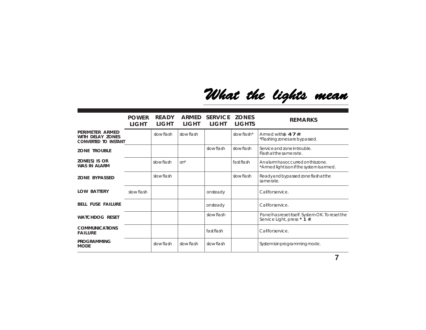# What the lights mean

|                                                                           | <b>POWER</b><br>LIGHT | <b>READY</b><br><b>LIGHT</b> | ARMED<br><b>LIGHT</b> | <b>SERVICE</b><br>LIGHT | <b>ZONES</b><br><b>LIGHTS</b> | <b>REMARKS</b>                                                                   |
|---------------------------------------------------------------------------|-----------------------|------------------------------|-----------------------|-------------------------|-------------------------------|----------------------------------------------------------------------------------|
| PERIMETER ARMED<br><b>WITH DELAY ZONES</b><br><b>CONVERTED TO INSTANT</b> |                       | slow flash                   | slow flash            |                         | slowflash*                    | Armed with $\ast$ 4 7 #.<br>*Flashing zones are bypassed.                        |
| <b>ZONE TROUBLE</b>                                                       |                       |                              |                       | slowflash               | slow flash                    | Service and zone in trouble.<br>Flashatthesamerate.                              |
| ZONE(S) IS OR<br><b>WAS IN ALARM</b>                                      |                       | slowflash                    | on*                   |                         | fastflash                     | Analarm has occurred on this zone.<br>*Armed light is on if the system is armed. |
| <b>ZONE BYPASSED</b>                                                      |                       | slow flash                   |                       |                         | slow flash                    | Ready and bypassed zone flash at the<br>samerate.                                |
| <b>LOW BATTERY</b>                                                        | slow flash            |                              |                       | onsteady                |                               | Callforservice.                                                                  |
| <b>BELL FUSE FAILURE</b>                                                  |                       |                              |                       | onsteady                |                               | Callforservice.                                                                  |
| <b>WATCHDOG RESET</b>                                                     |                       |                              |                       | slowflash               |                               | Panel has reset itself. System OK. To reset the<br>Service Light, press * 1 #.   |
| <b>COMMUNICATIONS</b><br><b>FAILURE</b>                                   |                       |                              |                       | fast flash              |                               | Callforservice.                                                                  |
| <b>PROGRAMMING</b><br><b>MODE</b>                                         |                       | slowflash                    | slow flash            | slowflash               |                               | System is in programming mode.                                                   |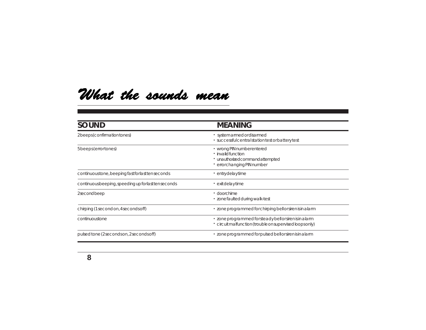## <span id="page-7-0"></span>What the sounds mean

| <b>SOUND</b>                                        | <b>MEANING</b>                                                                                                      |
|-----------------------------------------------------|---------------------------------------------------------------------------------------------------------------------|
| 2beeps (confirmation tones)                         | · system armed or disarmed<br>· successful central station test or battery test                                     |
| 5 beeps (error tones)                               | · wrong PIN number entered<br>· invalidfunction<br>· unauthorizedcommandattempted<br>· errorchanging PIN number     |
| continuoustone, beeping fast for last tenseconds    | · entrydelaytime                                                                                                    |
| continuous beeping, speeding up for last tenseconds | · exit delay time                                                                                                   |
| 2secondbeep                                         | · doorchime<br>· zone faulted during walk-test                                                                      |
| chirping (1 second on, 4 seconds off)               | · zone programmed for chirping bell or siren is in a larm                                                           |
| continuoustone                                      | · zone programmed for steady bell or siren is in a larm<br>· circuit malfunction (trouble on supervised loops only) |
| pulsed tone (2 seconds on, 2 seconds off)           | · zone programmed for pulsed bell or siren is in a larm                                                             |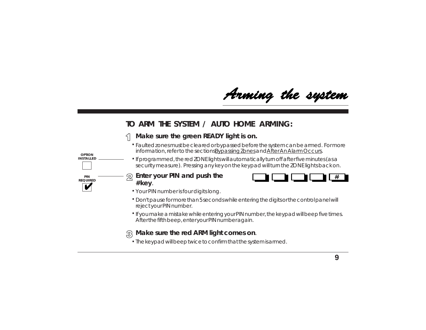Arming the system

### <span id="page-8-0"></span>**TO ARM THE SYSTEM / AUTO HOME ARMING:**

#### **Make sure the green READY light is on.**  $\leq$

- Faulted zones must be cleared or bypassed before the system can be armed. For more **.** information, refer to the sections By passing Zones and After An Alarm Occurs.
- If programmed, the red ZONE lights will automatically turn off after five minutes (as a **.** security measure). Pressing any key on the keypad will turn the ZONE lights back on.
- **Enter your PIN and push the # key**.

**OPTION INSTALLED** 

**PIN REQUIRED**



- Your PIN number is four digits long. **.**
- Don't pause for more than 5 seconds while entering the digits or the control panel will **.** reject your PIN number.
- If you make a mistake while entering your PIN number, the keypad will beep five times. **.** After the fifth beep, enter your PIN number again.

### **Make sure the red ARM light comes on**.

The keypad will beep twice to confirm that the system is armed. **.**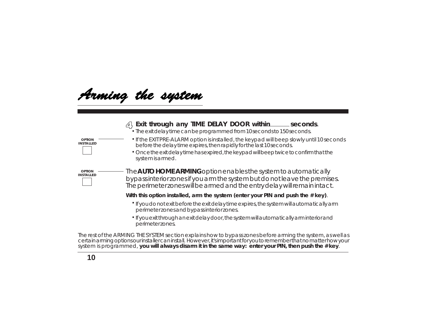Arming the system

### **Exit through any TIME DELAY DOOR within seconds**.

The exit delay time can be programmed from 10 seconds to 150 seconds. **.**

If the EXIT PRE-ALARM option is installed, the keypad will beep slowly until 10 seconds before the delay time expires, then rapidly for the last 10 seconds.

**.** Once the exit delay time has expired, the keypad will beep twice to confirm that the system is armed.

The **AUTO HOME ARMING** option enables the system to automatically bypass interior zones if you arm the system but do not leave the premises. The perimeter zones will be armed and the entry delay will remain intact.

**With this option installed, arm the system (enter your PIN and push the # key)**.

- **.** If you do not exit before the exit delay time expires, the system will automatically arm perimeter zones and bypass interior zones.
- **.** If you exit through an exit delay door, the system will automatically arm interior and perimeter zones.

The rest of the ARMING THE SYSTEM section explains how to bypass zones before arming the system, as well as certain arming options our installer can install. However, it's important for you to remember that no matter how your system is programmed, **you will always disarm it in the same way: enter your PIN, then push the # key**.

**OPTION . INSTALLED**

**OPTION INSTALLED**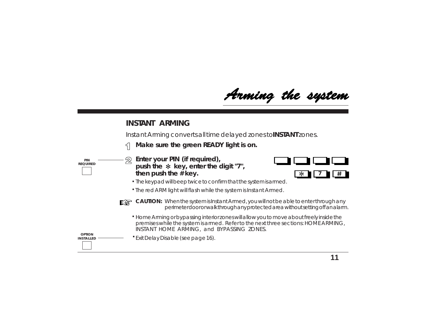Arming the system

### **INSTANT ARMING**

Instant Arming converts all time delayed zones to **INSTANT** zones.

**Make sure the green READY light is on.** 5



**Enter your PIN (***if required***),** push the  $*$  key, enter the digit "7", **then push the # key.**



**.** The keypad will beep twice to confirm that the system is armed.

**.** The red ARM light will flash while the system is Instant Armed.



**CAUTION:** When the system is Instant Armed, you will not be able to enter through any perimeter door or walk through any protected area without setting off an alarm.

Home Arming or bypassing interior zones will allow you to move about freely inside the **.** premises while the system is armed. Refer to the next three sections: HOME ARMING, INSTANT HOME ARMING, and BYPASSING ZONES.

**OPTION**

**INSTALLED** Exit Delay Disable (see page 16). **.**

**11**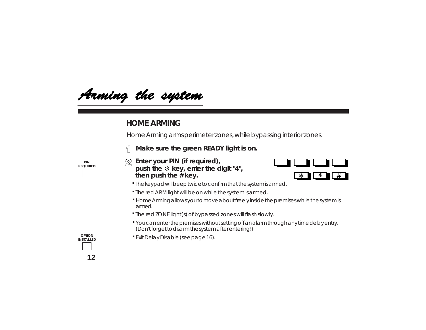Arming the system

### **HOME ARMING**

Home Arming arms perimeter zones, while bypassing interior zones.

 $\leq$ **Make sure the green READY light is on.**

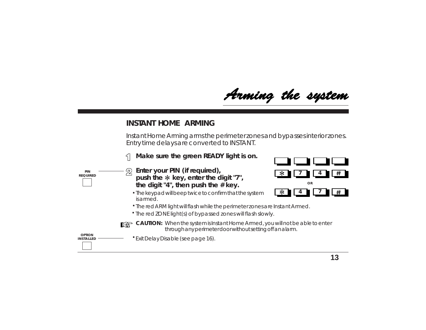Arming the system

### **INSTANT HOME ARMING**

Instant Home Arming arms the perimeter zones and bypasses interior zones. Entry time delays are converted to INSTANT.

**Make sure the green READY light is on.** 5





- The keypad will beep twice to confirm that the system **.** is armed.
- **.** The red ARM light will flash while the perimeter zones are Instant Armed.
- The red ZONE light(s) of bypassed zones will flash slowly. **.**



**CAUTION:** When the system is Instant Home Armed, you will not be able to enter through any perimeter door without setting off an alarm.

**OPTION INSTALLED** 

**PIN REQUIRED**

Exit Delay Disable (see page 16). **.**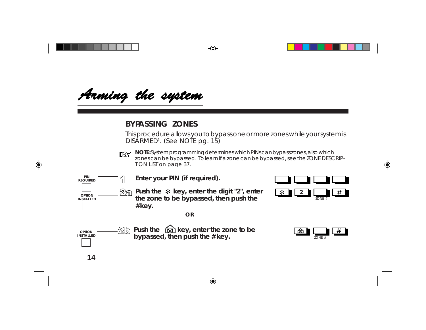<span id="page-13-0"></span>Arming the system

### **BYPASSING ZONES**

This procedure allows you to bypass one or more zones while your system is DISARMED<sup>1</sup>. (See NOTE pg. 15)



**NOTE:** System programming determines which PINs can bypass zones, also which zones can be bypassed. To learn if a zone can be bypassed, see the ZONE DESCRIP-TION LIST on page 37.

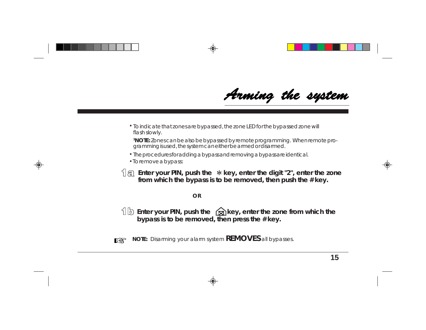Arming the system

To indicate that zones are bypassed, the zone LED for the bypassed zone will **.** flash slowly.

**1NOTE:** Zones can be also be bypassed by remote programming. When remote programming is used, the system can either be armed or disarmed.

- **.** The procedures for adding a bypass and removing a bypass are identical.
- **.** To remove a bypass:
- **Enter your PIN, push the \*key, enter the digit "2", enter the zone from which the bypass is to be removed, then push the # key.**

#### **OR**

**Enter your PIN, push the key, enter the zone from which the bypass is to be removed, then press the # key.**



**NOTE:** Disarming your alarm system **REMOVES** all bypasses.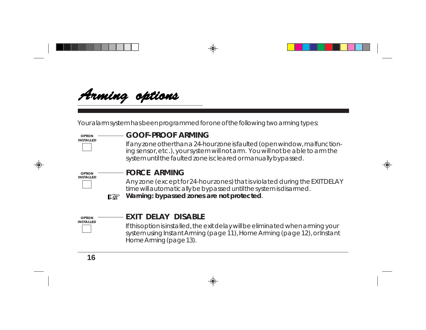<span id="page-15-0"></span>

Your alarm system has been programmed for one of the following two arming types:

#### **OPTION INSTALLED**

### **GOOF-PROOF ARMING**

If any zone other than a 24-hour zone is faulted (open window, malfunctioning sensor, etc.), your system will not arm. You will not be able to arm the system until the faulted zone is cleared or manually bypassed.



### **FORCE ARMING**

Any zone (except for 24-hour zones) that is violated during the EXIT DELAY time will automatically be bypassed until the system is disarmed. **Warning: bypassed zones are not protected**.



 $\mathbb{R}$ 

### **EXIT DELAY DISABLE**

If this option is installed, the exit delay will be eliminated when arming your system using Instant Arming (page 11), Home Arming (page 12), or Instant Home Arming (page 13).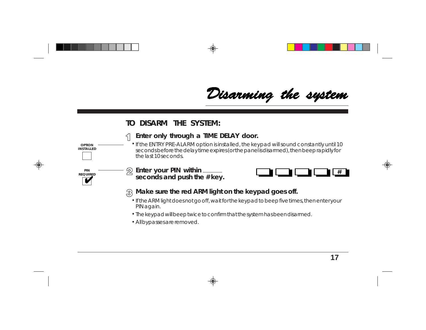Disarming the system

### **TO DISARM THE SYSTEM:**

## **INSTALLED PIN REQUIRED**

<span id="page-16-0"></span>**. OPTION**

#### **Enter only through a TIME DELAY door.**  $\mathcal{F}$

- If the ENTRY PRE-ALARM option is installed, the keypad will sound constantly until 10 seconds before the delay time expires (or the panel is disarmed), then beep rapidly for the last 10 seconds.
- **Enter your PIN within seconds and push the # key.**



#### **Make sure the red ARM light on the keypad goes off.**

- If the ARM light does not go off, wait for the keypad to beep five times, then enter your **.** PIN again.
- The keypad will beep twice to confirm that the system has been disarmed. **.**
- All bypasses are removed. **.**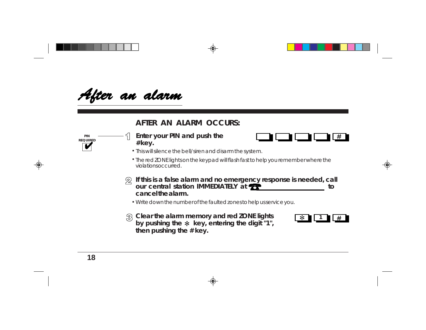<span id="page-17-0"></span>After an alarm

### **AFTER AN ALARM OCCURS:**

**Enter your PIN and push the # key.**



- This will silence the bell/siren and disarm the system. **.**
- The red ZONE lights on the keypad will flash fast to help you remember where the **.** violations occurred.
- **If this is a false alarm and no emergency response is needed, call our central station IMMEDIATELY at <b><sup>27</sup> cancel the alarm.**
	- Write down the number of the faulted zones to help us service you. **.**
- **Clear the alarm memory and red ZONE lights** by pushing the  $*$  key, entering the digit "1", **then pushing the # key.**



**PIN REQUIRED**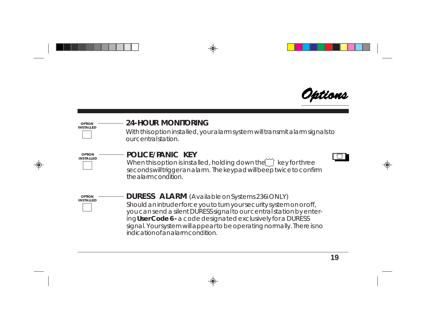

#### <span id="page-18-0"></span>**24-HOUR MONITORING** With this option installed, your alarm system will transmit alarm signals to our central station. **OPTION INSTALLED POLICE/PANIC KEY** When this option is installed, holding down the  $\widetilde{\hspace{0.1cm}}$  key for three seconds will trigger an alarm. The keypad will beep twice to confirm **OPTION INSTALLED**

the alarm condition.



**OPTION** ——————**DURESS ALARM** (Available on Systems 236i ONLY) Should an intruder force you to turn your security system on or off, you can send a silent DURESS signal to our central station by entering **User Code 6 -** a code designated exclusively for a DURESS signal. Your system will appear to be operating normally. There is no indication of an alarm condition.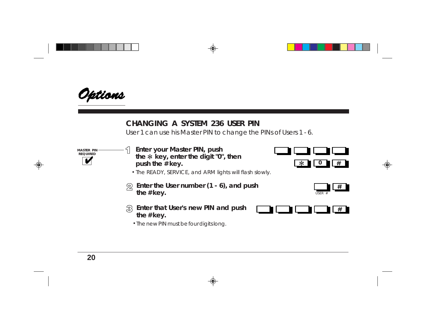<span id="page-19-0"></span>

### **CHANGING A SYSTEM 236 USER PIN**

User 1 can use his Master PIN to change the PINs of Users 1 - 6.

**MASTER PIN REQUIRED**

**Enter your Master PIN, push the key, enter the digit "0", then push the # key.**



- The READY, SERVICE, and ARM lights will flash slowly. **.**
- **Enter the User number (1 6), and push**  $\mathfrak{D}$ the  $#$  key.
- **Enter that User's new PIN and push the # key.**
	- The new PIN must be four digits long. **.**



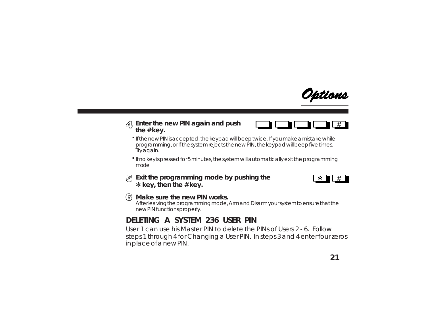

#### <span id="page-20-0"></span>**Enter the new PIN again and push the # key.**



- If the new PIN is accepted, the keypad will beep twice. If you make a mistake while **.** programming, or if the system rejects the new PIN, the keypad will beep five times. Try again.
- If no key is pressed for 5 minutes, the system will automatically exit the programming **.** mode.
- **Exit the programming mode by pushing the key, then the # key.**



### **Make sure the new PIN works.**

After leaving the programming mode, Arm and Disarm your system to ensure that the new PIN functions properly.

### **DELETING A SYSTEM 236 USER PIN**

User 1 can use his Master PIN to delete the PINs of Users 2 - 6. Follow steps 1 through 4 for Changing a User PIN. In steps 3 and 4 enter four zeros in place of a new PIN.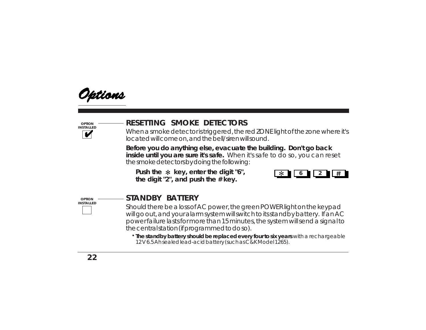<span id="page-21-0"></span>

**OPTION INSTALLED**

## **RESETTING SMOKE DETECTORS**

When a smoke detector is triggered, the red ZONE light of the zone where it's located will come on, and the bell/siren will sound.

**Before you do anything else, evacuate the building. Don't go back inside until you are sure it's safe.** When it's safe to do so, you can reset the smoke detectors by doing the following:

Push the  $*$  key, enter the digit "6", **the digit "2", and push the # key.**



**OPTION INSTALLED** 

### **STANDBY BATTERY**

Should there be a loss of AC power, the green POWER light on the keypad will go out, and your alarm system will switch to its standby battery. If an AC power failure lasts for more than 15 minutes, the system will send a signal to the central station (if programmed to do so).

**. The standby battery should be replaced every four to six years** with a rechargeable 12 V 6.5 Ah sealed lead-acid battery (such as C&K Model 1265).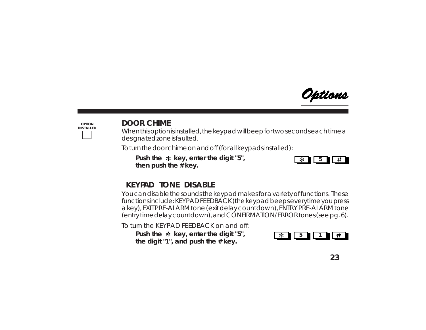

<span id="page-22-0"></span>**OPTION INSTALLED**

### **DOOR CHIME**

When this option is installed, the keypad will beep for two seconds each time a designated zone is faulted.

To turn the door chime on and off (for all keypads installed):

Push the  $*$  key, enter the digit "5", **then push the # key.**



### **KEYPAD TONE DISABLE**

You can disable the sounds the keypad makes for a variety of functions. These functions include: KEYPAD FEEDBACK (the keypad beeps everytime you press a key), EXIT PRE-ALARM tone (exit delay countdown), ENTRY PRE-ALARM tone (entry time delay countdown), and CONFIRMATION/ERROR tones (see pg. 6).

To turn the KEYPAD FEEDBACK on and off:

**Push the key, enter the digit "5", the digit "1", and push the # key.**

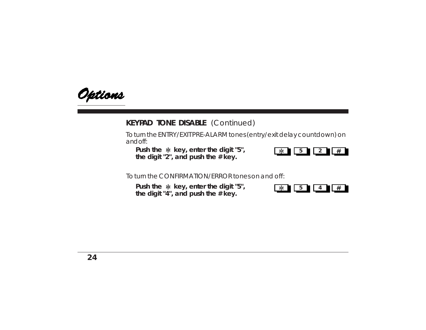

### **KEYPAD TONE DISABLE** (Continued)

To turn the ENTRY/EXIT PRE-ALARM tones (entry/exit delay countdown) on and off:

**Push the \* key, enter the digit "5", the digit "2", and push the # key.**



To turn the CONFIRMATION/ERROR tones on and off:

**Push the \* key, enter the digit "5", the digit "4", and push the # key.**

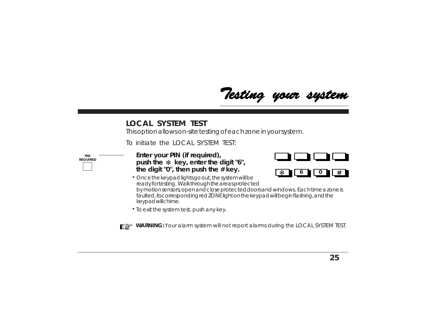Testing your system

### <span id="page-24-0"></span>**LOCAL SYSTEM TEST**

This option allows on-site testing of each zone in your system.

To initiate the LOCAL SYSTEM TEST:



**Enter your PIN (if required),** push the  $*$  key, enter the digit "6", **the digit "0", then push the # key.**



- Once the keypad lights go out, the system will be **.** ready for testing. Walk through the areas protected by motion sensors; open and close protected doors and windows. Each time a zone is faulted, its corresponding red ZONE light on the keypad will begin flashing, and the keypad will chime.
- $\cdot$  To exit the system test, push any key.



**WARNING:** Your alarm system will not report alarms during the LOCAL SYSTEM TEST.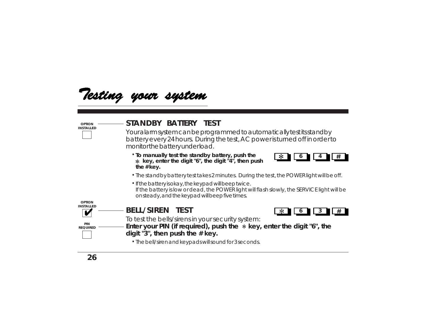

| <b>OPTION</b><br><b>INSTALLED</b> | STANDBY BATTERY TEST<br>Your alarm system can be programmed to automatically test its stand by<br>battery every 24 hours. During the test, AC power is turned off in order to<br>monitor the battery underload. |  |  |  |  |  |  |
|-----------------------------------|-----------------------------------------------------------------------------------------------------------------------------------------------------------------------------------------------------------------|--|--|--|--|--|--|
|                                   | . To manually test the standby battery, push the<br>$*$ key, enter the digit "6", the digit "4", then push<br>the $#$ key.                                                                                      |  |  |  |  |  |  |
|                                   | . The standby battery test takes 2 minutes. During the test, the POWER light will be off.                                                                                                                       |  |  |  |  |  |  |
|                                   | · If the battery is okay, the keypad will beep twice.<br>If the battery is low or dead, the POWER light will flash slowly, the SERVICE light will be<br>onsteady, and the keypad will beep five times.          |  |  |  |  |  |  |
| <b>OPTION</b><br><b>INSTALLED</b> |                                                                                                                                                                                                                 |  |  |  |  |  |  |
|                                   | <b>BELL/SIREN TEST</b>                                                                                                                                                                                          |  |  |  |  |  |  |
| PIN<br><b>REQUIRED</b>            | To test the bells/sirens in your security system:<br>Enter your PIN (if required), push the $*$ key, enter the digit "6", the<br>digit "3", then push the # key.                                                |  |  |  |  |  |  |
|                                   | • The bell/siren and keypads will sound for 3 seconds.                                                                                                                                                          |  |  |  |  |  |  |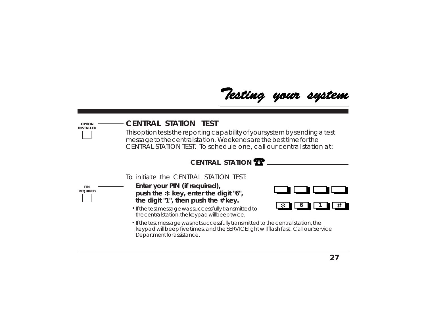Testing your system

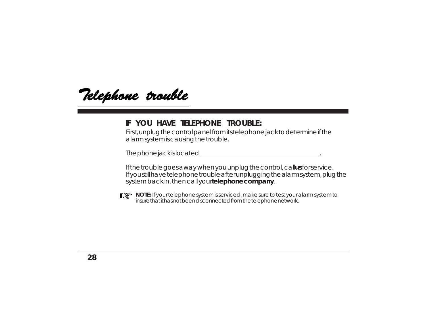<span id="page-27-0"></span>Telephone trouble

### **IF YOU HAVE TELEPHONE TROUBLE:**

First, unplug the control panel from its telephone jack to determine if the alarm system is causing the trouble.

The phone jack is located .

If the trouble goes away when you unplug the control, callus for service. If you still have telephone trouble after unplugging the alarm system, plug the system back in, then call your **telephone company**.



**NOTE:** If your telephone system is serviced, make sure to test your alarm system to insure that it has not been disconnected from the telephone network.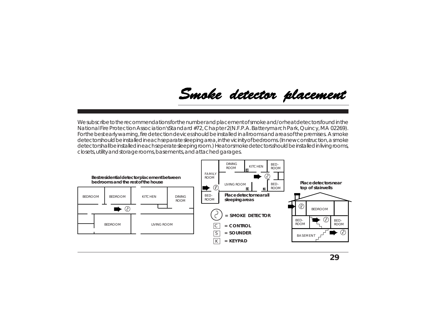## Smoke detector placement

<span id="page-28-0"></span>We subscribe to the recommendations for the number and placement of smoke and/or heat detectors found in the National Fire Protection Association's *Standard #72, Chapter 2* (N.F.P.A. Batterymarch Park, Quincy, MA 02269). For the best early warning, fire detection devices should be installed in all rooms and areas of the premises. A smoke detector should be installed in each separate sleeping area, in the vicinity of bedrooms. (In new construction, a smoke detector shall be installed in each seperate sleeping room.) Heat or smoke detectors should be installed in living rooms, closets, utility and storage rooms, basements, and attached garages.

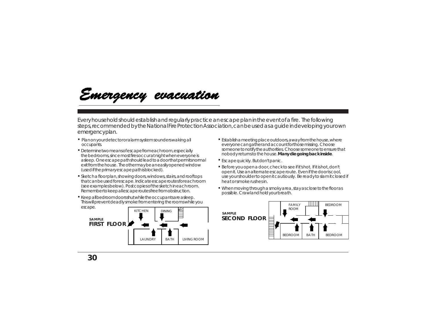<span id="page-29-0"></span>

Every household should establish and regularly practice an escape plan in the event of a fire. The following steps, recommended by the National Fire Protection Association, can be used as a guide in developing your own emergency plan.

- **. .** Plan on your detector or alarm system sounders waking all occupants.
- **.** Determine two means of escape from each room, especially the bedrooms, since most fires occur at night when everyone is asleep. One escape path should lead to a door that permits normal exit from the house. The other may be an easily opened window (used if the primary escape path is blocked).
- **.** Sketch a floor plan, showing doors, windows, stairs, and rooftops that can be used for escape. Indicate escape routes for each room (see examples below). Post copies of the sketch in each room. Remember to keep all escape routes free from obstruction.
- **Keep all bedroom doors shut while the occupants are asleep.** This will prevent deadly smoke from entering the rooms while you escape.



- Establish a meeting place outdoors, away from the house, where everyone can gather and account for those missing. Choose someone to notify the authorities. Choose someone to ensure that nobody returns to the house. **Many die going back inside**.
- Escape quickly. But don't panic. **.**
- Before you open a door, check to see if it's hot. If it is hot, don't **.** open it. Use an alternate escape route. Even if the door is cool, use your shoulder to open it cautiously. Be ready to slam it closed if heat or smoke rushes in.
- When moving through a smoky area, stay as close to the floor as **.** possible. Crawl and hold your breath.

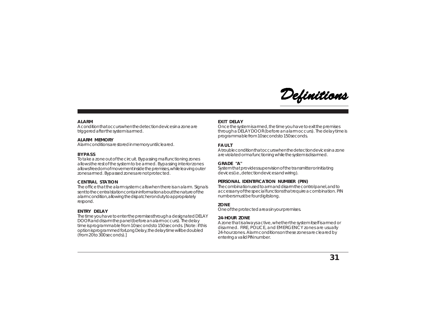

#### <span id="page-30-0"></span>**ALARM**

A condition that occurs when the detection devices in a zone are triggered after the system is armed.

#### **ALARM MEMORY**

Alarm conditions are stored in memory until cleared.

#### **BYPASS**

To take a zone out of the circuit. Bypassing malfunctioning zones allows the rest of the system to be armed. Bypassing interior zones allows freedom of movement inside the premises, while leaving outer zones armed. Bypassed zones are not protected.

#### **CENTRAL STATION**

The office that the alarm system calls when there is an alarm. Signals sent to the central station contain information about the nature of the alarm condition, allowing the dispatcher on duty to appropriately respond.

#### **ENTRY DELAY**

The time you have to enter the premises through a designated DELAY DOOR and disarm the panel (before an alarm occurs). The delay time is programmable from 10 seconds to 150 seconds. [Note: if this option is programmed for *Long Delay*, the delay time will be doubled (from 20 to 300 seconds).]

#### **EXIT DELAY**

Once the system is armed, the time you have to exit the premises through a DELAY DOOR (before an alarm occurs). The delay time is programmable from 10 seconds to 150 seconds.

#### **FAULT**

A trouble condition that occurs when the detection devices in a zone are violated or mafunctioning while the system is disarmed.

#### **GRADE "A"**

System that provides supervision of the transmitter or initiating devices (i.e., detection devices and wiring).

#### **PERSONAL IDENTIFICATION NUMBER (PIN)**

The combination used to arm and disarm the control panel, and to access any of the special functions that require a combination. PIN numbers must be four digits long.

#### **ZONE**

One of the protected areas in your premises.

#### **24-HOUR ZONE**

A zone that is always active, whether the system itself is armed or disarmed. FIRE, POLICE, and EMERGENCY zones are usually 24-hour zones. Alarm conditions on these zones are cleared by entering a valid PIN number.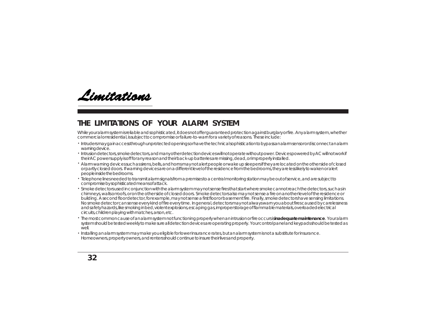<span id="page-31-0"></span>

### **THE LIMITATIONS OF YOUR ALARM SYSTEM**

While your alarm system is reliable and sophisticated, it does not offer guaranteed protection against burglary or fire. Any alarm system, whether commercial or residential, is subject to compromise or failure-to-warn for a variety of reasons. These include:

- Intruders may gain access through unprotected openings or have the technical sophistication to bypass an alarm sensor or disconnect an alarm . warning device.
- Intrusion detectors, smoke detectors, and many other detection devices will not operate without power. Devices powered by AC will not work if . their AC power supply is off for any reason and their back-up batteries are missing, dead, or improperly installed.
- Alarm warning devices such as sirens, bells, and horns may not alert people or wake up sleepers if they are located on the other side of closed . or partly closed doors. If warning devices are on a different level of the residence from the bedrooms, they are less likely to waken or alert people inside the bedrooms.
- Telephone lines needed to transmit alarm signals from a premises to a central monitoring station may be out of service, and are subject to . compromise by sophisticated means of attack.
- $\cdot$  Smoke detectors used in conjunction with the alarm system may not sense fires that start where smoke cannot reach the detectors, such as in chimneys, walls or roofs, or on the other side of closed doors. Smoke detectors also may not sense a fire on another level of the residence or building. A second floor detector, for example, may not sense a first floor or basement fire. Finally, smoke detectors have sensing limitations. No smoke detector can sense every kind of fire every time. In general, detectors may not always warn you about fires caused by carelessness and safety hazards, like smoking in bed, violent explosions, escaping gas, improper storage of flammable materials, overloaded electrical circuits, children playing with matches, arson, etc.
- The most common cause of an alarm system not functioning properly when an intrusion or fire occurs is **inadequate maintenance**. Your alarm . system should be tested weekly to make sure all detection devices are operating properly. Your control panel and keypads should be tested as  $M$  $\Theta$
- Installing an alarm system may make you eligible for lower insurance rates, but an alarm system is not a substitute for insurance. .Homeowners, property owners, and renters should continue to insure their lives and property.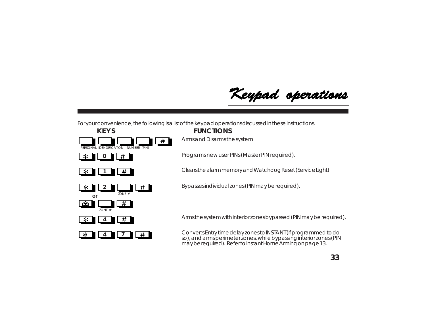Keypad operations

<span id="page-32-0"></span>For your convenience, the following is a list of the keypad operations discussed in these instructions.



Arms and Disarms the system

**0** Programs new user PINs (Master PIN required).

**1** Clears the alarm memory and Watchdog Reset (Service Light)

**22 Bypasses individual zones (PIN may be required).** 

**<sup>4</sup>** Arms the system with interior zones bypassed (PIN may be required).

**<sup>4</sup> <sup>7</sup>** Converts Entry time delay zones to INSTANT (if programmed to do so), and arms perimeter zones, while bypassing interior zones (PIN may be required). Refer to Instant Home Arming on page 13.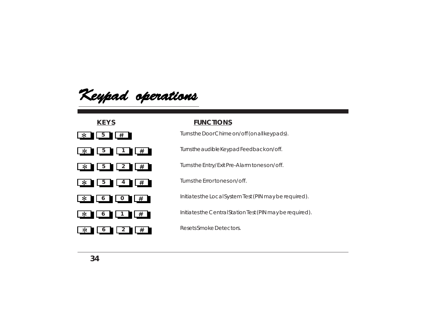Keypad operations





#### **KEYS FUNCTIONS**

**1 Turns the Door Chime on/off (on all keypads).** 

**1** Turns the audible Keypad Feedback on/off.

**5 2** Turns the Entry/Exit Pre-Alarm tones on/off.

**<sup>6</sup> <sup>0</sup>** Initiates the Local System Test (PIN may be required).

**1 1** I **#** Initiates the Central Station Test (PIN may be required).

**1 6 2 #** Resets Smoke Detectors.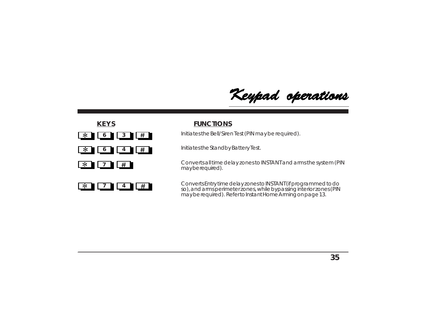





**1 6 3 1 1** Initiates the Bell/Siren Test (PIN may be required).

**6 4 4 #** Initiates the Standby Battery Test.

**7** Ferry Converts all time delay zones to INSTANT and arms the system (PIN may be required).

**<sup>7</sup> <sup>4</sup>** Converts Entry time delay zones to INSTANT (if programmed to do so), and arms perimeter zones, while bypassing interior zones (PIN may be required). Refer to Instant Home Arming on page 13.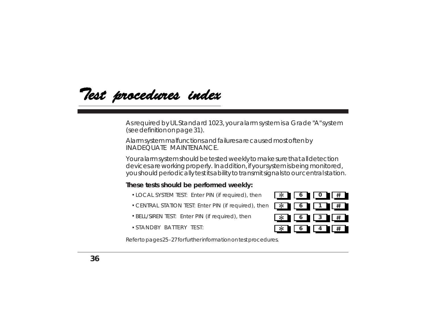<span id="page-35-0"></span>Test procedures index

As required by UL Standard 1023, your alarm system is a Grade "A" system (see definition on page 31).

Alarm system malfunctions and failures are caused most often by INADEQUATE MAINTENANCE.

Your alarm system should be tested weekly to make sure that all detection devices are working properly. In addition, if your system is being monitored, you should periodically test its ability to transmit signals to our central station.

#### **These tests should be performed weekly:**

- **.** LOCAL SYSTEM TEST: Enter PIN (if required), then
- **.** CENTRAL STATION TEST: Enter PIN (if required), then
- BELL/SIREN TEST: Enter PIN (if required), then **3 .**
- **.** STANDBY BATTERY TEST:



Refer to pages 25 - 27 for further information on test procedures.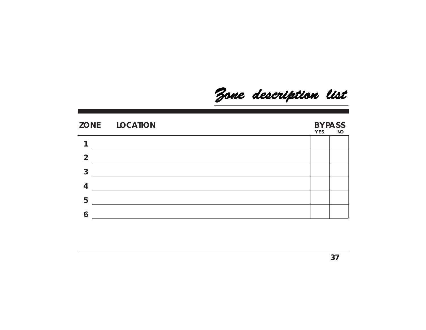Zone description list

<span id="page-36-0"></span>

|                | ZONE LOCATION | YES | <b>BYPASS</b><br><b>NO</b> |
|----------------|---------------|-----|----------------------------|
|                |               |     |                            |
| $\overline{2}$ |               |     |                            |
| 3              |               |     |                            |
| 4              |               |     |                            |
| 5              |               |     |                            |
|                |               |     |                            |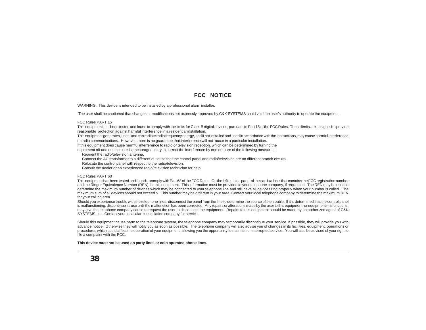#### **FCC NOTICE**

<span id="page-37-0"></span>WARNING: This device is intended to be installed by a professional alarm installer.

The user shall be cautioned that changes or modifications not expressly approved by C&K SYSTEMS could void the user's authority to operate the equipment.

#### FCC Rules PART 15

This equipment has been tested and found to comply with the limits for Class B digital devices, pursuant to Part 15 of the FCC Rules. These limits are designed to provide reasonable protection against harmful interference in a residential installation.

This equipment generates, uses, and can radiate radio frequency energy, and if not installed and used in accordance with the instructions, may cause harmful interference to radio communications. However, there is no guarantee that interference will not occur in a particular installation.

If this equipment does cause harmful interference to radio or television reception, which can be determined by turning the

equipment off and on, the user is encouraged to try to correct the interference by one or more of the following measures:

Reorient the radio/television antenna.

Connect the AC transformer to a different outlet so that the control panel and radio/television are on different branch circuits.

Relocate the control panel with respect to the radio/television.

Consult the dealer or an experienced radio/television technician for help.

#### FCC Rules PART 68

This equipment has been tested and found to comply with Part 68 of the FCC Rules. On the left outside panel of the can is a label that contains the FCC registration number and the Ringer Equivalence Number (REN) for this equipment. This information must be provided to your telephone company, if requested. The REN may be used to determine the maximum number of devices which may be connected to your telephone line and still have all devices ring properly when your number is called. The maximum sum of all devices should not exceed 5. This number may be different in your area. Contact your local telephone company to determine the maximum REN for your calling area.

Should you experience trouble with the telephone lines, disconnect the panel from the line to determine the source of the trouble. If it is determined that the control panel is malfunctioning, discontinue its use until the malfunction has been corrected. Any repairs or alterations made by the user to this equipment, or equipment malfunctions, may give the telephone company cause to request the user to disconnect the equipment. Repairs to this equipment should be made by an authorized agent of C&K SYSTEMS, Inc. Contact your local alarm installation company for service.

Should this equipment cause harm to the telephone system, the telephone company may temporarily discontinue your service. If possible, they will provide you with advance notice. Otherwise they will notify you as soon as possible. The telephone company will also advise you of changes in its facilities, equipment, operations or procedures which could affect the operation of your equipment, allowing you the opportunity to maintain uninterrupted service. You will also be advised of your right to file a complaint with the FCC.

**This device must not be used on party lines or coin operated phone lines.**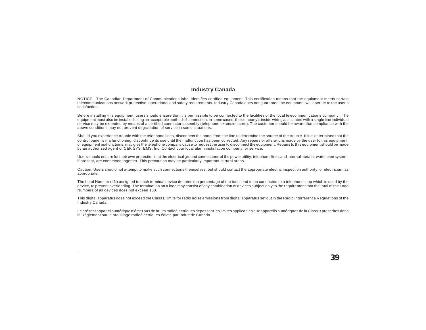#### **Industry Canada**

<span id="page-38-0"></span>NOTICE: The Canadian Department of Communications label identifies certified equipment. This certification means that the equipment meets certain telecommunications network protective, operational and safety requirements. Industry Canada does not guarantee the equipment will operate to the user's satisfaction.

Before installing this equipment, users should ensure that it is permissible to be connected to the facilities of the local telecommunications company. The equipment must also be installed using an acceptable method of connection. In some cases, the company's inside wiring associated with a single line individual service may be extended by means of a certified connector assembly (telephone extension cord). The customer should be aware that compliance with the above conditions may not prevent degradation of service in some situations.

Should you experience trouble with the telephone lines, disconnect the panel from the line to determine the source of the trouble. If it is determined that the control panel is malfunctioning, discontinue its use until the malfunction has been corrected. Any repairs or alterations made by the user to this equipment, or equipment malfunctions, may give the telephone company cause to request the user to disconnect the equipment. Repairs to this equipment should be made by an authorized agent of C&K SYSTEMS, Inc. Contact your local alarm installation company for service.

Users should ensure for their own protection that the electrical ground connections of the power utility, telephone lines and internal metallic water pipe system, if present, are connected together. This precaution may be particularly important in rural areas.

Caution: Users should not attempt to make such connections themselves, but should contact the appropriate electric inspection authority, or electrician, as appropriate.

The Load Number (LN) assigned to each terminal device denotes the percentage of the total load to be connected to a telephone loop which is used by the device, to prevent overloading. The termination on a loop may consist of any combination of devices subject only to the requirement that the total of the Load Numbers of all devices does not exceed 100.

This digital apparatus does not exceed the Class B limits for radio noise emissions from digital apparatus set out in the Radio Interference Regulations of the Industry Canada.

Le présent appariel numérique n'émet pas de bruits radioélectriques dépassant les limites applicables aux appareils numériques de la Class B prescrites dans le Règlement sur le brouillage radioélectriques édicté par Industrie Canada.